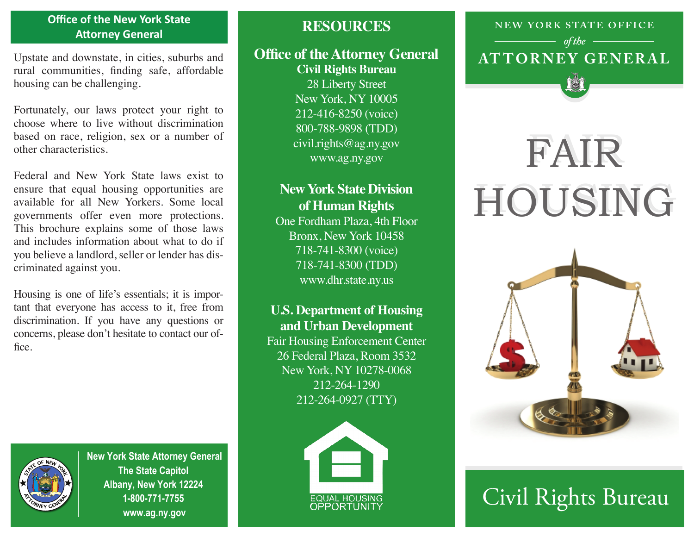#### **Office of the New York State Attorney General**

Upstate and downstate, in cities, suburbs and rural communities, finding safe, affordable housing can be challenging.

Fortunately, our laws protect your right to choose where to live without discrimination based on race, religion, sex or a number of other characteristics.

Federal and New York State laws exist to ensure that equal housing opportunities are available for all New Yorkers. Some local governments offer even more protections. This brochure explains some of those laws and includes information about what to do if you believe a landlord, seller or lender has discriminated against you.

Housing is one of life's essentials; it is important that everyone has access to it, free from discrimination. If you have any questions or concerns, please don't hesitate to contact our office.



#### **Office of the Attorney General Civil Rights Bureau**

28 Liberty Street New York, NY 10005 212-416-8250 (voice) 800-788-9898 (TDD) civil.rights@ag.ny.gov www.ag.ny.gov

### **New York State Division of Human Rights**

One Fordham Plaza, 4th Floor Bronx, New York 10458 718-741-8300 (voice) 718-741-8300 (TDD) www.dhr.state.ny.us

#### **U.S. Department of Housing and Urban Development**

Fair Housing Enforcement Center 26 Federal Plaza, Room 3532 New York, NY 10278-0068 212-264-1290 212-264-0927 (TTY)



**New York State Attorney General The State Capitol Albany, New York 12224 1-800-771-7755 www.ag.ny.gov**



## **NEW YORK STATE OFFICE AT TORNE Y GENERAL** *of the*

# FAIR FAIR HOUSING HOUSING



# Civil Rights Bureau